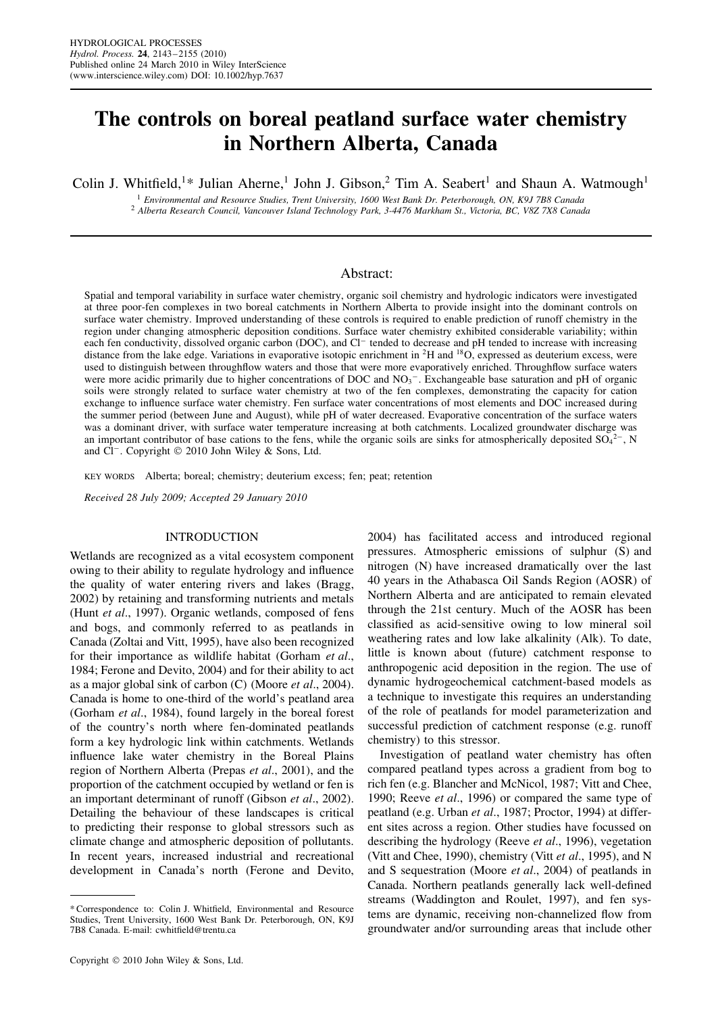# **The controls on boreal peatland surface water chemistry in Northern Alberta, Canada**

Colin J. Whitfield,<sup>1\*</sup> Julian Aherne,<sup>1</sup> John J. Gibson,<sup>2</sup> Tim A. Seabert<sup>1</sup> and Shaun A. Watmough<sup>1</sup>

<sup>1</sup> Environmental and Resource Studies, Trent University, 1600 West Bank Dr. Peterborough, ON, K9J 7B8 Canada<sup>2</sup> Alberta Research Council, Vancouver Island Technology Park, 3-4476 Markham St., Victoria, BC, V8Z 7X8 Canada

# Abstract:

Spatial and temporal variability in surface water chemistry, organic soil chemistry and hydrologic indicators were investigated at three poor-fen complexes in two boreal catchments in Northern Alberta to provide insight into the dominant controls on surface water chemistry. Improved understanding of these controls is required to enable prediction of runoff chemistry in the region under changing atmospheric deposition conditions. Surface water chemistry exhibited considerable variability; within each fen conductivity, dissolved organic carbon (DOC), and Cl<sup>-</sup> tended to decrease and pH tended to increase with increasing distance from the lake edge. Variations in evaporative isotopic enrichment in  ${}^{2}H$  and  ${}^{18}O$ , expressed as deuterium excess, were used to distinguish between throughflow waters and those that were more evaporatively enriched. Throughflow surface waters were more acidic primarily due to higher concentrations of DOC and  $NO<sub>3</sub><sup>-</sup>$ . Exchangeable base saturation and pH of organic soils were strongly related to surface water chemistry at two of the fen complexes, demonstrating the capacity for cation exchange to influence surface water chemistry. Fen surface water concentrations of most elements and DOC increased during the summer period (between June and August), while pH of water decreased. Evaporative concentration of the surface waters was a dominant driver, with surface water temperature increasing at both catchments. Localized groundwater discharge was an important contributor of base cations to the fens, while the organic soils are sinks for atmospherically deposited  $SO_4^2$ , N and Cl<sup>-</sup>. Copyright © 2010 John Wiley & Sons, Ltd.

KEY WORDS Alberta; boreal; chemistry; deuterium excess; fen; peat; retention

*Received 28 July 2009; Accepted 29 January 2010*

#### INTRODUCTION

Wetlands are recognized as a vital ecosystem component owing to their ability to regulate hydrology and influence the quality of water entering rivers and lakes (Bragg, 2002) by retaining and transforming nutrients and metals (Hunt *et al*., 1997). Organic wetlands, composed of fens and bogs, and commonly referred to as peatlands in Canada (Zoltai and Vitt, 1995), have also been recognized for their importance as wildlife habitat (Gorham *et al*., 1984; Ferone and Devito, 2004) and for their ability to act as a major global sink of carbon (C) (Moore *et al*., 2004). Canada is home to one-third of the world's peatland area (Gorham *et al*., 1984), found largely in the boreal forest of the country's north where fen-dominated peatlands form a key hydrologic link within catchments. Wetlands influence lake water chemistry in the Boreal Plains region of Northern Alberta (Prepas *et al*., 2001), and the proportion of the catchment occupied by wetland or fen is an important determinant of runoff (Gibson *et al*., 2002). Detailing the behaviour of these landscapes is critical to predicting their response to global stressors such as climate change and atmospheric deposition of pollutants. In recent years, increased industrial and recreational development in Canada's north (Ferone and Devito, 2004) has facilitated access and introduced regional pressures. Atmospheric emissions of sulphur (S) and nitrogen (N) have increased dramatically over the last 40 years in the Athabasca Oil Sands Region (AOSR) of Northern Alberta and are anticipated to remain elevated through the 21st century. Much of the AOSR has been classified as acid-sensitive owing to low mineral soil weathering rates and low lake alkalinity (Alk). To date, little is known about (future) catchment response to anthropogenic acid deposition in the region. The use of dynamic hydrogeochemical catchment-based models as a technique to investigate this requires an understanding of the role of peatlands for model parameterization and successful prediction of catchment response (e.g. runoff chemistry) to this stressor.

Investigation of peatland water chemistry has often compared peatland types across a gradient from bog to rich fen (e.g. Blancher and McNicol, 1987; Vitt and Chee, 1990; Reeve *et al*., 1996) or compared the same type of peatland (e.g. Urban *et al*., 1987; Proctor, 1994) at different sites across a region. Other studies have focussed on describing the hydrology (Reeve *et al*., 1996), vegetation (Vitt and Chee, 1990), chemistry (Vitt *et al*., 1995), and N and S sequestration (Moore *et al*., 2004) of peatlands in Canada. Northern peatlands generally lack well-defined streams (Waddington and Roulet, 1997), and fen systems are dynamic, receiving non-channelized flow from groundwater and/or surrounding areas that include other

<sup>\*</sup> Correspondence to: Colin J. Whitfield, Environmental and Resource Studies, Trent University, 1600 West Bank Dr. Peterborough, ON, K9J 7B8 Canada. E-mail: cwhitfield@trentu.ca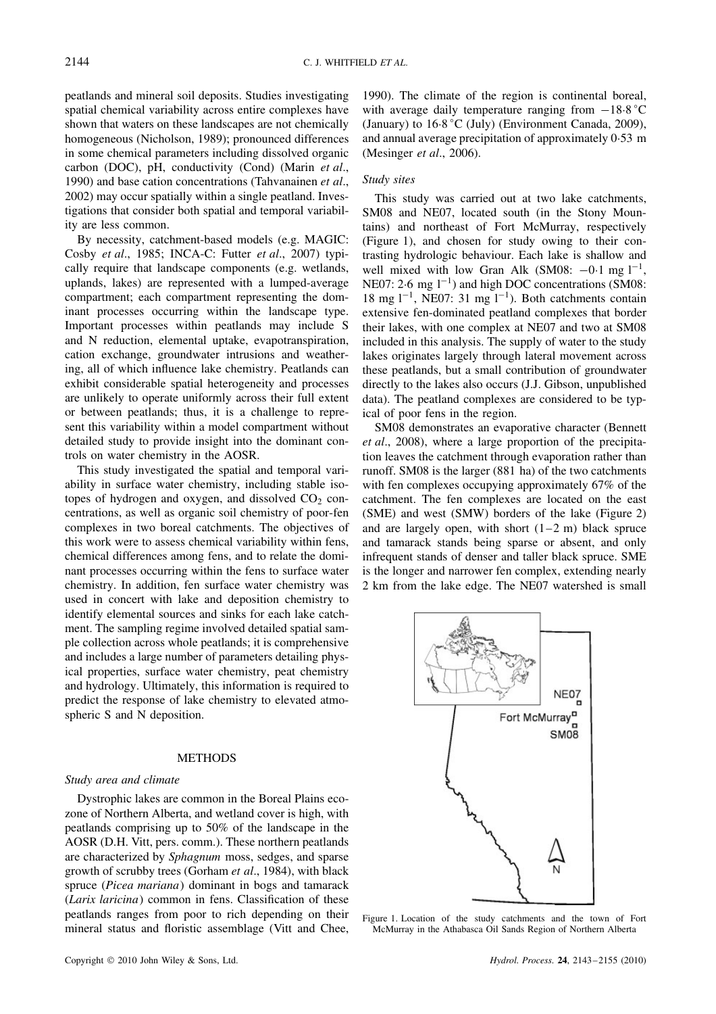peatlands and mineral soil deposits. Studies investigating spatial chemical variability across entire complexes have shown that waters on these landscapes are not chemically homogeneous (Nicholson, 1989); pronounced differences in some chemical parameters including dissolved organic carbon (DOC), pH, conductivity (Cond) (Marin *et al*., 1990) and base cation concentrations (Tahvanainen *et al*., 2002) may occur spatially within a single peatland. Investigations that consider both spatial and temporal variability are less common.

By necessity, catchment-based models (e.g. MAGIC: Cosby *et al*., 1985; INCA-C: Futter *et al*., 2007) typically require that landscape components (e.g. wetlands, uplands, lakes) are represented with a lumped-average compartment; each compartment representing the dominant processes occurring within the landscape type. Important processes within peatlands may include S and N reduction, elemental uptake, evapotranspiration, cation exchange, groundwater intrusions and weathering, all of which influence lake chemistry. Peatlands can exhibit considerable spatial heterogeneity and processes are unlikely to operate uniformly across their full extent or between peatlands; thus, it is a challenge to represent this variability within a model compartment without detailed study to provide insight into the dominant controls on water chemistry in the AOSR.

This study investigated the spatial and temporal variability in surface water chemistry, including stable isotopes of hydrogen and oxygen, and dissolved  $CO<sub>2</sub>$  concentrations, as well as organic soil chemistry of poor-fen complexes in two boreal catchments. The objectives of this work were to assess chemical variability within fens, chemical differences among fens, and to relate the dominant processes occurring within the fens to surface water chemistry. In addition, fen surface water chemistry was used in concert with lake and deposition chemistry to identify elemental sources and sinks for each lake catchment. The sampling regime involved detailed spatial sample collection across whole peatlands; it is comprehensive and includes a large number of parameters detailing physical properties, surface water chemistry, peat chemistry and hydrology. Ultimately, this information is required to predict the response of lake chemistry to elevated atmospheric S and N deposition.

## **METHODS**

#### *Study area and climate*

Dystrophic lakes are common in the Boreal Plains ecozone of Northern Alberta, and wetland cover is high, with peatlands comprising up to 50% of the landscape in the AOSR (D.H. Vitt, pers. comm.). These northern peatlands are characterized by *Sphagnum* moss, sedges, and sparse growth of scrubby trees (Gorham *et al*., 1984), with black spruce (*Picea mariana*) dominant in bogs and tamarack (*Larix laricina*) common in fens. Classification of these peatlands ranges from poor to rich depending on their mineral status and floristic assemblage (Vitt and Chee,

1990). The climate of the region is continental boreal, with average daily temperature ranging from  $-18.8\textdegree C$ (January) to  $16·8 °C$  (July) (Environment Canada, 2009), and annual average precipitation of approximately  $0.53$  m (Mesinger *et al*., 2006).

## *Study sites*

This study was carried out at two lake catchments, SM08 and NE07, located south (in the Stony Mountains) and northeast of Fort McMurray, respectively (Figure 1), and chosen for study owing to their contrasting hydrologic behaviour. Each lake is shallow and well mixed with low Gran Alk (SM08:  $-0.1$  mg  $1^{-1}$ , NE07:  $2.6 \text{ mg } 1^{-1}$ ) and high DOC concentrations (SM08: 18 mg  $1^{-1}$ , NE07: 31 mg  $1^{-1}$ ). Both catchments contain extensive fen-dominated peatland complexes that border their lakes, with one complex at NE07 and two at SM08 included in this analysis. The supply of water to the study lakes originates largely through lateral movement across these peatlands, but a small contribution of groundwater directly to the lakes also occurs (J.J. Gibson, unpublished data). The peatland complexes are considered to be typical of poor fens in the region.

SM08 demonstrates an evaporative character (Bennett *et al*., 2008), where a large proportion of the precipitation leaves the catchment through evaporation rather than runoff. SM08 is the larger (881 ha) of the two catchments with fen complexes occupying approximately 67% of the catchment. The fen complexes are located on the east (SME) and west (SMW) borders of the lake (Figure 2) and are largely open, with short  $(1-2 m)$  black spruce and tamarack stands being sparse or absent, and only infrequent stands of denser and taller black spruce. SME is the longer and narrower fen complex, extending nearly 2 km from the lake edge. The NE07 watershed is small



Figure 1. Location of the study catchments and the town of Fort McMurray in the Athabasca Oil Sands Region of Northern Alberta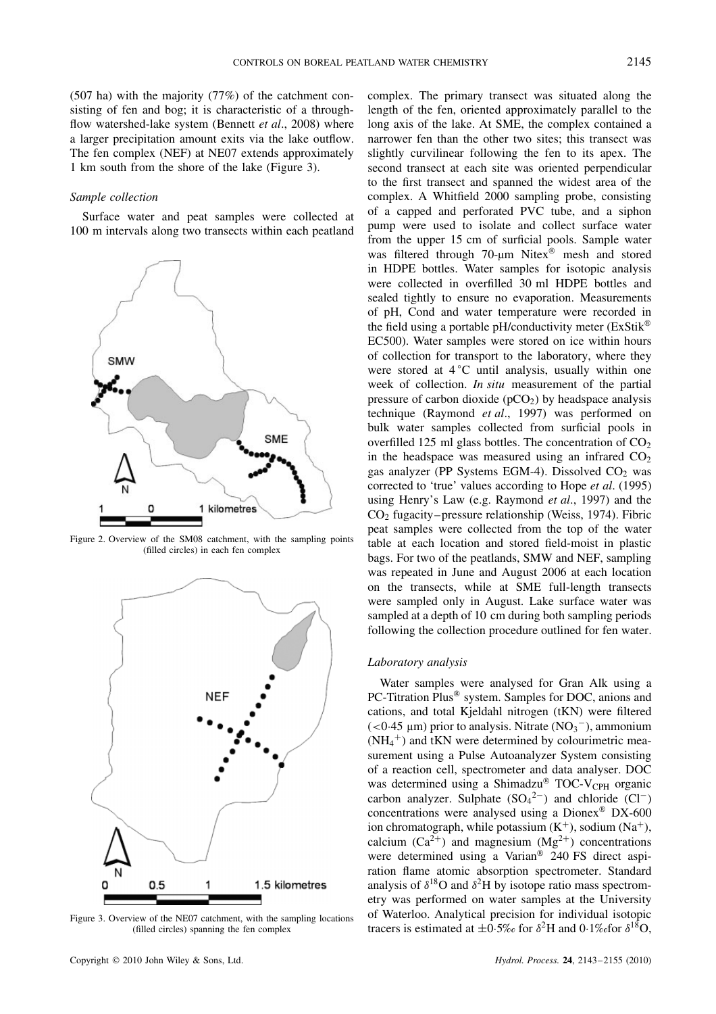(507 ha) with the majority (77%) of the catchment consisting of fen and bog; it is characteristic of a throughflow watershed-lake system (Bennett *et al*., 2008) where a larger precipitation amount exits via the lake outflow. The fen complex (NEF) at NE07 extends approximately 1 km south from the shore of the lake (Figure 3).

#### *Sample collection*

Surface water and peat samples were collected at 100 m intervals along two transects within each peatland



Figure 2. Overview of the SM08 catchment, with the sampling points (filled circles) in each fen complex



Figure 3. Overview of the NE07 catchment, with the sampling locations (filled circles) spanning the fen complex

complex. The primary transect was situated along the length of the fen, oriented approximately parallel to the long axis of the lake. At SME, the complex contained a narrower fen than the other two sites; this transect was slightly curvilinear following the fen to its apex. The second transect at each site was oriented perpendicular to the first transect and spanned the widest area of the complex. A Whitfield 2000 sampling probe, consisting of a capped and perforated PVC tube, and a siphon pump were used to isolate and collect surface water from the upper 15 cm of surficial pools. Sample water was filtered through  $70$ -µm Nitex<sup>®</sup> mesh and stored in HDPE bottles. Water samples for isotopic analysis were collected in overfilled 30 ml HDPE bottles and sealed tightly to ensure no evaporation. Measurements of pH, Cond and water temperature were recorded in the field using a portable pH/conductivity meter ( $ExStik^{\circledcirc}$ ) EC500). Water samples were stored on ice within hours of collection for transport to the laboratory, where they were stored at  $4^{\circ}$ C until analysis, usually within one week of collection. *In situ* measurement of the partial pressure of carbon dioxide  $(pCO<sub>2</sub>)$  by headspace analysis technique (Raymond *et al*., 1997) was performed on bulk water samples collected from surficial pools in overfilled 125 ml glass bottles. The concentration of  $CO<sub>2</sub>$ in the headspace was measured using an infrared  $CO<sub>2</sub>$ gas analyzer (PP Systems EGM-4). Dissolved  $CO<sub>2</sub>$  was corrected to 'true' values according to Hope *et al*. (1995) using Henry's Law (e.g. Raymond *et al*., 1997) and the CO2 fugacity–pressure relationship (Weiss, 1974). Fibric peat samples were collected from the top of the water table at each location and stored field-moist in plastic bags. For two of the peatlands, SMW and NEF, sampling was repeated in June and August 2006 at each location on the transects, while at SME full-length transects were sampled only in August. Lake surface water was sampled at a depth of 10 cm during both sampling periods following the collection procedure outlined for fen water.

### *Laboratory analysis*

Water samples were analysed for Gran Alk using a PC-Titration Plus<sup>®</sup> system. Samples for DOC, anions and cations, and total Kjeldahl nitrogen (tKN) were filtered  $(<0.45 \mu m$ ) prior to analysis. Nitrate  $(NO<sub>3</sub><sup>-</sup>)$ , ammonium  $(NH<sub>4</sub><sup>+</sup>)$  and tKN were determined by colourimetric measurement using a Pulse Autoanalyzer System consisting of a reaction cell, spectrometer and data analyser. DOC was determined using a Shimadzu® TOC-V<sub>CPH</sub> organic carbon analyzer. Sulphate  $(SO<sub>4</sub><sup>2–</sup>)$  and chloride  $(CI<sup>-</sup>)$ concentrations were analysed using a  $Di$ onex<sup>®</sup> DX-600 ion chromatograph, while potassium  $(K^+)$ , sodium  $(Na^+)$ , calcium  $(Ca^{2+})$  and magnesium  $(Mg^{2+})$  concentrations were determined using a Varian<sup>®</sup> 240 FS direct aspiration flame atomic absorption spectrometer. Standard analysis of  $\delta^{18}$ O and  $\delta^2$ H by isotope ratio mass spectrometry was performed on water samples at the University of Waterloo. Analytical precision for individual isotopic tracers is estimated at  $\pm$ 0.5‰ for  $\delta^2$ H and 0.1‰for  $\delta^{18}$ O,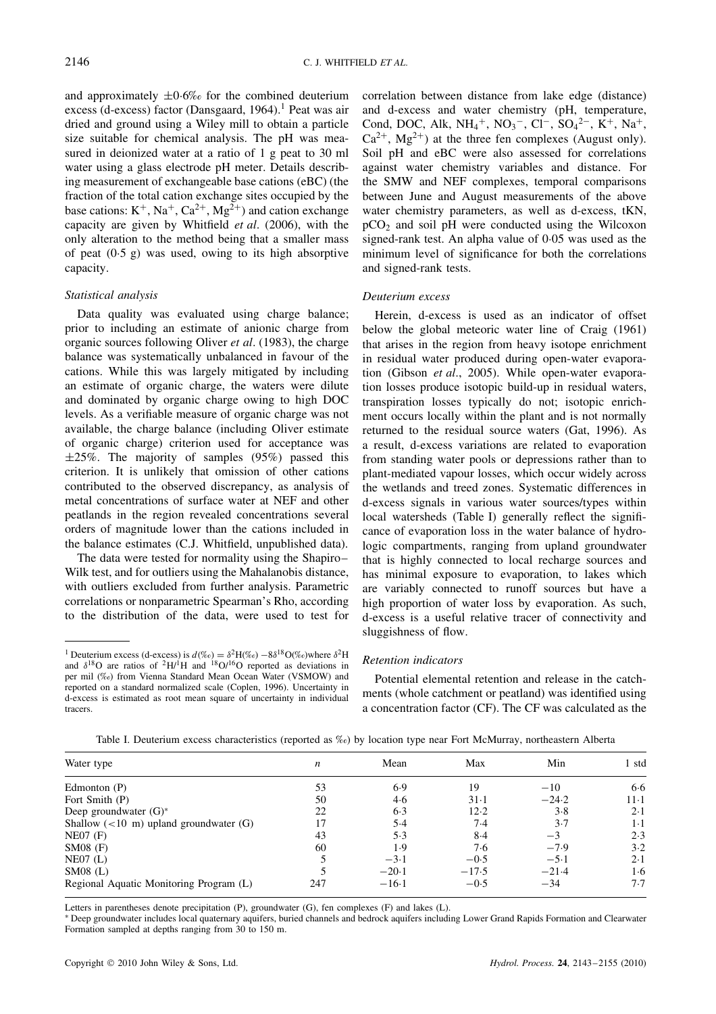and approximately  $\pm 0.6\%$  for the combined deuterium excess (d-excess) factor (Dansgaard, 1964).<sup>1</sup> Peat was air dried and ground using a Wiley mill to obtain a particle size suitable for chemical analysis. The pH was measured in deionized water at a ratio of 1 g peat to 30 ml water using a glass electrode pH meter. Details describing measurement of exchangeable base cations (eBC) (the fraction of the total cation exchange sites occupied by the base cations:  $K^+$ , Na<sup>+</sup>, Ca<sup>2+</sup>, Mg<sup>2+</sup>) and cation exchange capacity are given by Whitfield *et al*. (2006), with the only alteration to the method being that a smaller mass of peat  $(0.5 \text{ g})$  was used, owing to its high absorptive capacity.

# *Statistical analysis*

Data quality was evaluated using charge balance; prior to including an estimate of anionic charge from organic sources following Oliver *et al*. (1983), the charge balance was systematically unbalanced in favour of the cations. While this was largely mitigated by including an estimate of organic charge, the waters were dilute and dominated by organic charge owing to high DOC levels. As a verifiable measure of organic charge was not available, the charge balance (including Oliver estimate of organic charge) criterion used for acceptance was  $\pm 25\%$ . The majority of samples (95%) passed this criterion. It is unlikely that omission of other cations contributed to the observed discrepancy, as analysis of metal concentrations of surface water at NEF and other peatlands in the region revealed concentrations several orders of magnitude lower than the cations included in the balance estimates (C.J. Whitfield, unpublished data).

The data were tested for normality using the Shapiro– Wilk test, and for outliers using the Mahalanobis distance, with outliers excluded from further analysis. Parametric correlations or nonparametric Spearman's Rho, according to the distribution of the data, were used to test for

correlation between distance from lake edge (distance) and d-excess and water chemistry (pH, temperature, Cond, DOC, Alk,  $NH_4^+$ ,  $NO_3^-$ , Cl<sup>-</sup>,  $SO_4^2$ <sup>-</sup>, K<sup>+</sup>, Na<sup>+</sup>,  $Ca^{2+}$ , Mg<sup>2+</sup>) at the three fen complexes (August only). Soil pH and eBC were also assessed for correlations against water chemistry variables and distance. For the SMW and NEF complexes, temporal comparisons between June and August measurements of the above water chemistry parameters, as well as d-excess, tKN,  $pCO<sub>2</sub>$  and soil pH were conducted using the Wilcoxon signed-rank test. An alpha value of  $0.05$  was used as the minimum level of significance for both the correlations and signed-rank tests.

## *Deuterium excess*

Herein, d-excess is used as an indicator of offset below the global meteoric water line of Craig (1961) that arises in the region from heavy isotope enrichment in residual water produced during open-water evaporation (Gibson *et al*., 2005). While open-water evaporation losses produce isotopic build-up in residual waters, transpiration losses typically do not; isotopic enrichment occurs locally within the plant and is not normally returned to the residual source waters (Gat, 1996). As a result, d-excess variations are related to evaporation from standing water pools or depressions rather than to plant-mediated vapour losses, which occur widely across the wetlands and treed zones. Systematic differences in d-excess signals in various water sources/types within local watersheds (Table I) generally reflect the significance of evaporation loss in the water balance of hydrologic compartments, ranging from upland groundwater that is highly connected to local recharge sources and has minimal exposure to evaporation, to lakes which are variably connected to runoff sources but have a high proportion of water loss by evaporation. As such, d-excess is a useful relative tracer of connectivity and sluggishness of flow.

#### *Retention indicators*

Potential elemental retention and release in the catchments (whole catchment or peatland) was identified using a concentration factor (CF). The CF was calculated as the

| Water type                                         | $\boldsymbol{n}$ | Mean    | Max     | Min     | 1 std  |
|----------------------------------------------------|------------------|---------|---------|---------|--------|
| Edmonton $(P)$                                     | 53               | 6.9     | 19      | $-10$   | 6.6    |
| Fort Smith (P)                                     | 50               | 4.6     | $31-1$  | $-24.2$ | $11-1$ |
| Deep groundwater $(G)^*$                           | 22               | 6.3     | 12.2    | 3.8     | 2.1    |
| Shallow $(<10 \text{ m})$ upland groundwater $(G)$ |                  | 5.4     | 7.4     | 3.7     | $1-1$  |
| $NE07$ (F)                                         | 43               | 5.3     | 8.4     | $-3$    | 2.3    |
| $SM08$ $(F)$                                       | 60               | 1.9     | 7.6     | $-7.9$  | 3.2    |
| $NE07$ (L)                                         |                  | $-3.1$  | $-0.5$  | $-5.1$  | 2.1    |
| $SM08$ (L)                                         |                  | $-20.1$ | $-17.5$ | $-21.4$ | 1·6    |
| Regional Aquatic Monitoring Program (L)            | 247              | $-16-1$ | $-0.5$  | $-34$   | 7.7    |

Table I. Deuterium excess characteristics (reported as ‰) by location type near Fort McMurray, northeastern Alberta

Letters in parentheses denote precipitation (P), groundwater (G), fen complexes (F) and lakes (L).<br>\* Deep groundwater includes local quaternary aquifers, buried channels and bedrock aquifers including Lower Grand Rapids Fo Formation sampled at depths ranging from 30 to 150 m.

<sup>&</sup>lt;sup>1</sup> Deuterium excess (d-excess) is  $d(\%_0) = \delta^2 H(\%_0) - 8\delta^{18} O(\%_0)$  where  $\delta^2 H$ and  $\delta^{18}$ O are ratios of <sup>2</sup>H/<sup>1</sup>H and <sup>18</sup>O/<sup>16</sup>O reported as deviations in per mil (‰) from Vienna Standard Mean Ocean Water (VSMOW) and reported on a standard normalized scale (Coplen, 1996). Uncertainty in d-excess is estimated as root mean square of uncertainty in individual tracers.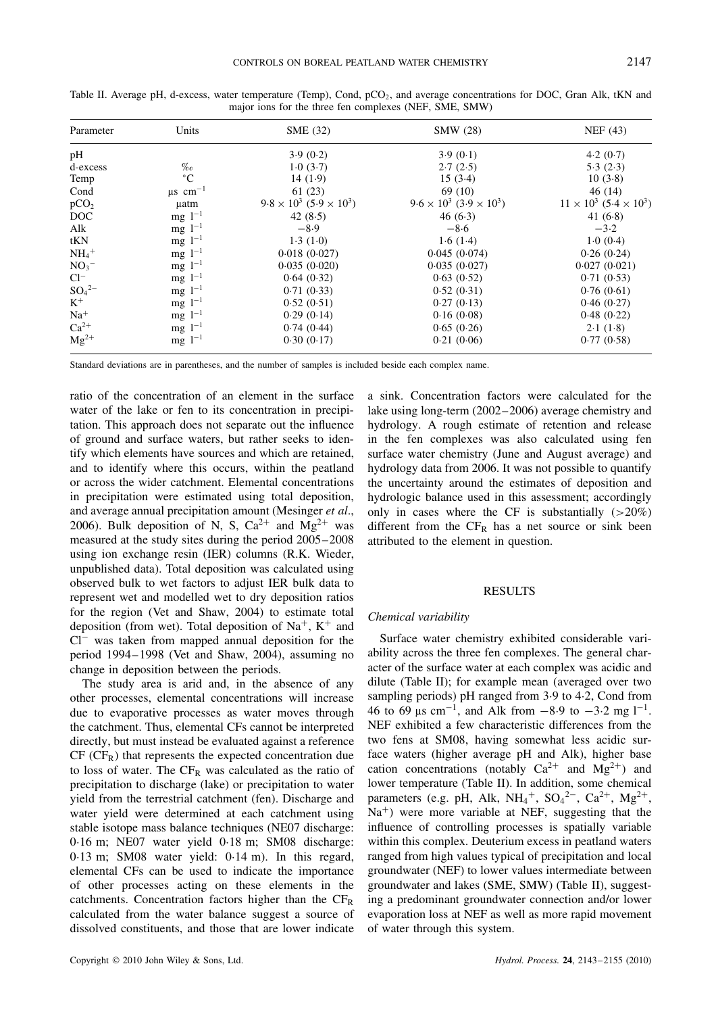|--|

| Units<br>Parameter  |                          | SME (32)                               | SMW (28)                               | NEF $(43)$                            |  |
|---------------------|--------------------------|----------------------------------------|----------------------------------------|---------------------------------------|--|
| pH                  |                          | 3.9(0.2)                               | 3.9(0.1)                               | 4.2(0.7)                              |  |
| d-excess            | $\%o$                    | 1.0(3.7)                               | 2.7(2.5)                               | 5.3(2.3)                              |  |
| Temp                | $^{\circ}C$              | 14(1.9)                                | 15(3.4)                                | 10(3.8)                               |  |
| Cond                | $\mu$ s cm <sup>-1</sup> | 61 (23)                                | 69 (10)                                | 46(14)                                |  |
| pCO <sub>2</sub>    | uatm                     | $9.8 \times 10^3$ (5.9 $\times 10^3$ ) | $9.6 \times 10^3$ (3.9 $\times 10^3$ ) | $11 \times 10^3$ (5.4 $\times 10^3$ ) |  |
| DOC                 | $mg$ $1^{-1}$            | 42 $(8.5)$                             | 46(6.3)                                | 41 $(6.8)$                            |  |
| Alk                 | $mg$ $1^{-1}$            | $-8.9$                                 | $-8.6$                                 | $-3.2$                                |  |
| tKN                 | $mg$ $1^{-1}$            | 1.3(1.0)                               | 1.6(1.4)                               | 1.0(0.4)                              |  |
| $NH_4$ <sup>+</sup> | $mg$ $1^{-1}$            | 0.018(0.027)                           | 0.045(0.074)                           | 0.26(0.24)                            |  |
| NO <sub>3</sub>     | $mg$ $1^{-1}$            | 0.035(0.020)                           | 0.035(0.027)                           | 0.027(0.021)                          |  |
| $Cl^-$              | $mg$ $1^{-1}$            | 0.64(0.32)                             | 0.63(0.52)                             | 0.71(0.53)                            |  |
| $SO_4{}^{2-}$       | $mg$ $1^{-1}$            | 0.71(0.33)                             | 0.52(0.31)                             | 0.76(0.61)                            |  |
| $K^+$               | $mg$ $1^{-1}$            | 0.52(0.51)                             | 0.27(0.13)                             | 0.46(0.27)                            |  |
| $Na+$               | $mg$ $1^{-1}$            | 0.29(0.14)                             | 0.16(0.08)                             | 0.48(0.22)                            |  |
| $Ca^{2+}$           | $mg$ $1^{-1}$            | 0.74(0.44)                             | 0.65(0.26)                             | 2.1(1.8)                              |  |
| $Mg^{2+}$           | $mg$ $1^{-1}$            | 0.30(0.17)                             | 0.21(0.06)                             | 0.77(0.58)                            |  |

Table II. Average pH, d-excess, water temperature (Temp), Cond, pCO<sub>2</sub>, and average concentrations for DOC, Gran Alk, tKN and major ions for the three fen complexes (NEF, SME, SMW)

Standard deviations are in parentheses, and the number of samples is included beside each complex name.

ratio of the concentration of an element in the surface water of the lake or fen to its concentration in precipitation. This approach does not separate out the influence of ground and surface waters, but rather seeks to identify which elements have sources and which are retained, and to identify where this occurs, within the peatland or across the wider catchment. Elemental concentrations in precipitation were estimated using total deposition, and average annual precipitation amount (Mesinger *et al*., 2006). Bulk deposition of N, S,  $Ca^{2+}$  and  $Mg^{2+}$  was measured at the study sites during the period 2005–2008 using ion exchange resin (IER) columns (R.K. Wieder, unpublished data). Total deposition was calculated using observed bulk to wet factors to adjust IER bulk data to represent wet and modelled wet to dry deposition ratios for the region (Vet and Shaw, 2004) to estimate total deposition (from wet). Total deposition of Na<sup>+</sup>, K<sup>+</sup> and  $Cl^-$  was taken from mapped annual deposition for the period 1994–1998 (Vet and Shaw, 2004), assuming no change in deposition between the periods.

The study area is arid and, in the absence of any other processes, elemental concentrations will increase due to evaporative processes as water moves through the catchment. Thus, elemental CFs cannot be interpreted directly, but must instead be evaluated against a reference  $CF (CF_R)$  that represents the expected concentration due to loss of water. The  $CF_R$  was calculated as the ratio of precipitation to discharge (lake) or precipitation to water yield from the terrestrial catchment (fen). Discharge and water yield were determined at each catchment using stable isotope mass balance techniques (NE07 discharge: 0.16 m; NE07 water yield 0.18 m; SM08 discharge:  $0.13$  m; SM08 water yield:  $0.14$  m). In this regard, elemental CFs can be used to indicate the importance of other processes acting on these elements in the catchments. Concentration factors higher than the  $CF_R$ calculated from the water balance suggest a source of dissolved constituents, and those that are lower indicate a sink. Concentration factors were calculated for the lake using long-term (2002–2006) average chemistry and hydrology. A rough estimate of retention and release in the fen complexes was also calculated using fen surface water chemistry (June and August average) and hydrology data from 2006. It was not possible to quantify the uncertainty around the estimates of deposition and hydrologic balance used in this assessment; accordingly only in cases where the CF is substantially  $(>20\%)$ different from the  $CF_R$  has a net source or sink been attributed to the element in question.

#### RESULTS

## *Chemical variability*

Surface water chemistry exhibited considerable variability across the three fen complexes. The general character of the surface water at each complex was acidic and dilute (Table II); for example mean (averaged over two sampling periods) pH ranged from  $3.9$  to  $4.2$ , Cond from 46 to 69  $\mu$ s cm<sup>-1</sup>, and Alk from -8.9 to -3.2 mg l<sup>-1</sup>. NEF exhibited a few characteristic differences from the two fens at SM08, having somewhat less acidic surface waters (higher average pH and Alk), higher base cation concentrations (notably  $Ca^{2+}$  and  $Mg^{2+}$ ) and lower temperature (Table II). In addition, some chemical parameters (e.g. pH, Alk,  $NH_4^+$ ,  $SO_4^2^-$ ,  $Ca^{2+}$ ,  $Mg^{2+}$ ,  $Na<sup>+</sup>$ ) were more variable at NEF, suggesting that the influence of controlling processes is spatially variable within this complex. Deuterium excess in peatland waters ranged from high values typical of precipitation and local groundwater (NEF) to lower values intermediate between groundwater and lakes (SME, SMW) (Table II), suggesting a predominant groundwater connection and/or lower evaporation loss at NEF as well as more rapid movement of water through this system.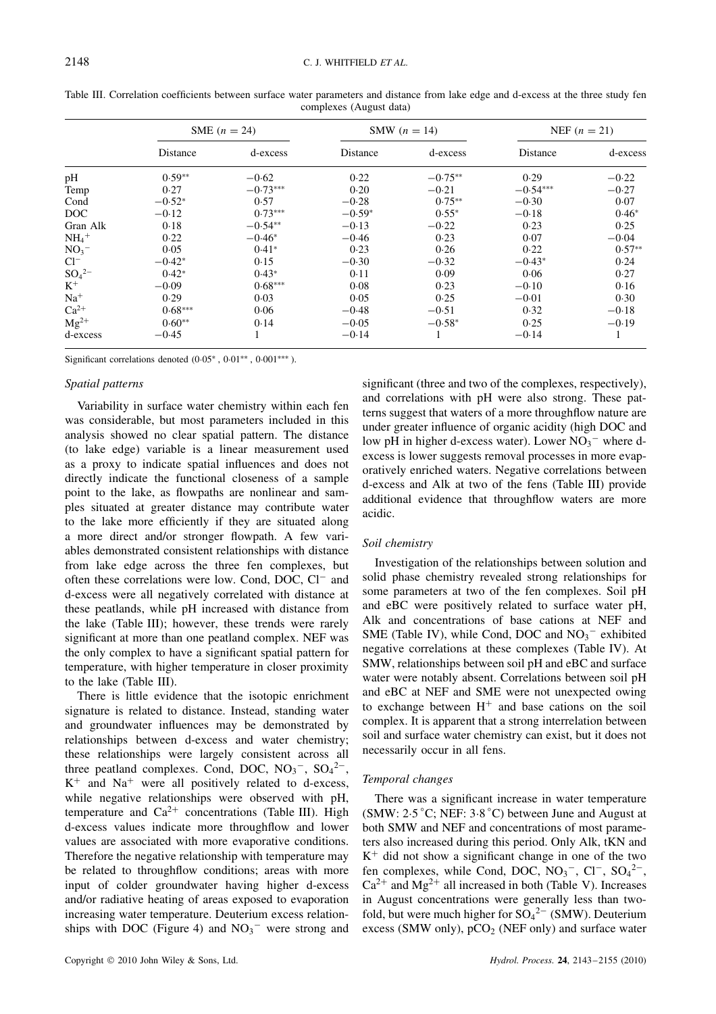|                     | SME $(n = 24)$ |            |          | SMW $(n = 14)$ | NEF $(n = 21)$ |          |
|---------------------|----------------|------------|----------|----------------|----------------|----------|
|                     | Distance       | d-excess   | Distance | d-excess       | Distance       | d-excess |
| pH                  | $0.59**$       | $-0.62$    | 0.22     | $-0.75**$      | 0.29           | $-0.22$  |
| Temp                | 0.27           | $-0.73***$ | 0.20     | $-0.21$        | $-0.54***$     | $-0.27$  |
| Cond                | $-0.52*$       | 0.57       | $-0.28$  | $0.75***$      | $-0.30$        | 0.07     |
| DOC                 | $-0.12$        | $0.73***$  | $-0.59*$ | $0.55*$        | $-0.18$        | $0.46*$  |
| Gran Alk            | 0.18           | $-0.54**$  | $-0.13$  | $-0.22$        | 0.23           | 0.25     |
| $NH_4$ <sup>+</sup> | 0.22           | $-0.46*$   | $-0.46$  | 0.23           | 0.07           | $-0.04$  |
| $NO_3^-$            | 0.05           | $0.41*$    | 0.23     | 0.26           | 0.22           | $0.57**$ |
| $Cl^-$              | $-0.42*$       | 0.15       | $-0.30$  | $-0.32$        | $-0.43*$       | 0.24     |
| $SO_4{}^{2-}$       | $0.42*$        | $0.43*$    | 0.11     | 0.09           | 0.06           | 0.27     |
| $K^+$               | $-0.09$        | $0.68***$  | 0.08     | 0.23           | $-0.10$        | 0.16     |
| $Na+$               | 0.29           | 0.03       | 0.05     | 0.25           | $-0.01$        | 0.30     |
| $Ca^{2+}$           | $0.68***$      | 0.06       | $-0.48$  | $-0.51$        | 0.32           | $-0.18$  |
| $Mg^{2+}$           | $0.60**$       | 0.14       | $-0.05$  | $-0.58*$       | 0.25           | $-0.19$  |
| d-excess            | $-0.45$        |            | $-0.14$  |                | $-0.14$        |          |

Table III. Correlation coefficients between surface water parameters and distance from lake edge and d-excess at the three study fen complexes (August data)

Significant correlations denoted  $(0.05<sup>*</sup>, 0.01<sup>**</sup>, 0.001<sup>***</sup>)$ .

#### *Spatial patterns*

Variability in surface water chemistry within each fen was considerable, but most parameters included in this analysis showed no clear spatial pattern. The distance (to lake edge) variable is a linear measurement used as a proxy to indicate spatial influences and does not directly indicate the functional closeness of a sample point to the lake, as flowpaths are nonlinear and samples situated at greater distance may contribute water to the lake more efficiently if they are situated along a more direct and/or stronger flowpath. A few variables demonstrated consistent relationships with distance from lake edge across the three fen complexes, but often these correlations were low. Cond, DOC,  $Cl^-$  and d-excess were all negatively correlated with distance at these peatlands, while pH increased with distance from the lake (Table III); however, these trends were rarely significant at more than one peatland complex. NEF was the only complex to have a significant spatial pattern for temperature, with higher temperature in closer proximity to the lake (Table III).

There is little evidence that the isotopic enrichment signature is related to distance. Instead, standing water and groundwater influences may be demonstrated by relationships between d-excess and water chemistry; these relationships were largely consistent across all three peatland complexes. Cond, DOC,  $NO_3^-$ ,  $SO_4^2^-$ ,  $K^+$  and  $Na^+$  were all positively related to d-excess, while negative relationships were observed with pH, temperature and  $Ca^{2+}$  concentrations (Table III). High d-excess values indicate more throughflow and lower values are associated with more evaporative conditions. Therefore the negative relationship with temperature may be related to throughflow conditions; areas with more input of colder groundwater having higher d-excess and/or radiative heating of areas exposed to evaporation increasing water temperature. Deuterium excess relationships with DOC (Figure 4) and  $NO<sub>3</sub><sup>-</sup>$  were strong and

significant (three and two of the complexes, respectively), and correlations with pH were also strong. These patterns suggest that waters of a more throughflow nature are under greater influence of organic acidity (high DOC and low pH in higher d-excess water). Lower  $NO<sub>3</sub><sup>-</sup>$  where dexcess is lower suggests removal processes in more evaporatively enriched waters. Negative correlations between d-excess and Alk at two of the fens (Table III) provide additional evidence that throughflow waters are more acidic.

#### *Soil chemistry*

Investigation of the relationships between solution and solid phase chemistry revealed strong relationships for some parameters at two of the fen complexes. Soil pH and eBC were positively related to surface water pH, Alk and concentrations of base cations at NEF and SME (Table IV), while Cond, DOC and  $NO<sub>3</sub><sup>-</sup>$  exhibited negative correlations at these complexes (Table IV). At SMW, relationships between soil pH and eBC and surface water were notably absent. Correlations between soil pH and eBC at NEF and SME were not unexpected owing to exchange between  $H^+$  and base cations on the soil complex. It is apparent that a strong interrelation between soil and surface water chemistry can exist, but it does not necessarily occur in all fens.

#### *Temporal changes*

There was a significant increase in water temperature (SMW:  $2.5^{\circ}$ C; NEF:  $3.8^{\circ}$ C) between June and August at both SMW and NEF and concentrations of most parameters also increased during this period. Only Alk, tKN and  $K^+$  did not show a significant change in one of the two fen complexes, while Cond, DOC,  $NO_3^-$ , Cl<sup>-</sup>,  $SO_4^2^-$ ,  $Ca^{2+}$  and Mg<sup>2+</sup> all increased in both (Table V). Increases in August concentrations were generally less than twofold, but were much higher for  $SO_4^2$ <sup>-</sup> (SMW). Deuterium excess (SMW only),  $pCO<sub>2</sub>$  (NEF only) and surface water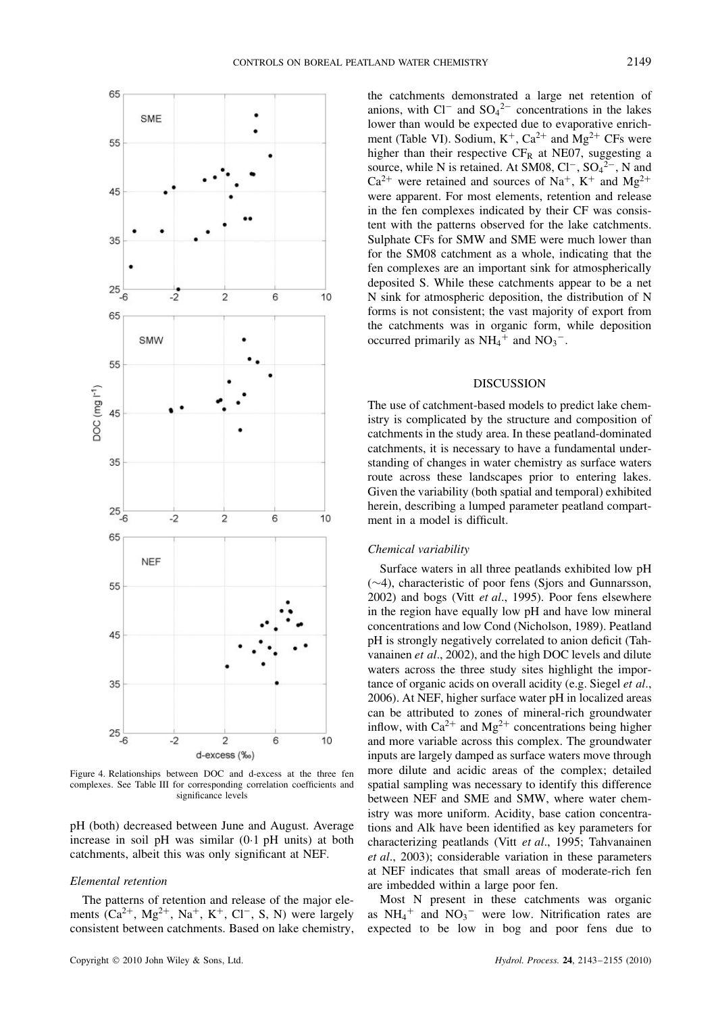

Figure 4. Relationships between DOC and d-excess at the three fen complexes. See Table III for corresponding correlation coefficients and significance levels

pH (both) decreased between June and August. Average increase in soil pH was similar  $(0.1 \text{ pH units})$  at both catchments, albeit this was only significant at NEF.

#### *Elemental retention*

The patterns of retention and release of the major elements  $(Ca^{2+}, Mg^{2+}, Na^+, K^+, Cl^-, S, N)$  were largely consistent between catchments. Based on lake chemistry, the catchments demonstrated a large net retention of anions, with  $Cl^-$  and  $SO_4^2$  concentrations in the lakes lower than would be expected due to evaporative enrichment (Table VI). Sodium,  $K^+$ ,  $Ca^{2+}$  and  $Mg^{2+}$  CFs were higher than their respective  $CF_R$  at NE07, suggesting a source, while N is retained. At SM08,  $Cl^-$ ,  $SO_4^2$ , N and  $Ca^{2+}$  were retained and sources of Na<sup>+</sup>, K<sup>+</sup> and Mg<sup>2+</sup> were apparent. For most elements, retention and release in the fen complexes indicated by their CF was consistent with the patterns observed for the lake catchments. Sulphate CFs for SMW and SME were much lower than for the SM08 catchment as a whole, indicating that the fen complexes are an important sink for atmospherically deposited S. While these catchments appear to be a net N sink for atmospheric deposition, the distribution of N forms is not consistent; the vast majority of export from the catchments was in organic form, while deposition occurred primarily as  $NH_4^+$  and  $NO_3^-$ .

# DISCUSSION

The use of catchment-based models to predict lake chemistry is complicated by the structure and composition of catchments in the study area. In these peatland-dominated catchments, it is necessary to have a fundamental understanding of changes in water chemistry as surface waters route across these landscapes prior to entering lakes. Given the variability (both spatial and temporal) exhibited herein, describing a lumped parameter peatland compartment in a model is difficult.

#### *Chemical variability*

Surface waters in all three peatlands exhibited low pH  $(\sim 4)$ , characteristic of poor fens (Sjors and Gunnarsson, 2002) and bogs (Vitt *et al*., 1995). Poor fens elsewhere in the region have equally low pH and have low mineral concentrations and low Cond (Nicholson, 1989). Peatland pH is strongly negatively correlated to anion deficit (Tahvanainen *et al*., 2002), and the high DOC levels and dilute waters across the three study sites highlight the importance of organic acids on overall acidity (e.g. Siegel *et al*., 2006). At NEF, higher surface water pH in localized areas can be attributed to zones of mineral-rich groundwater inflow, with  $Ca^{2+}$  and  $Mg^{2+}$  concentrations being higher and more variable across this complex. The groundwater inputs are largely damped as surface waters move through more dilute and acidic areas of the complex; detailed spatial sampling was necessary to identify this difference between NEF and SME and SMW, where water chemistry was more uniform. Acidity, base cation concentrations and Alk have been identified as key parameters for characterizing peatlands (Vitt *et al*., 1995; Tahvanainen *et al*., 2003); considerable variation in these parameters at NEF indicates that small areas of moderate-rich fen are imbedded within a large poor fen.

Most N present in these catchments was organic as  $NH_4^+$  and  $NO_3^-$  were low. Nitrification rates are expected to be low in bog and poor fens due to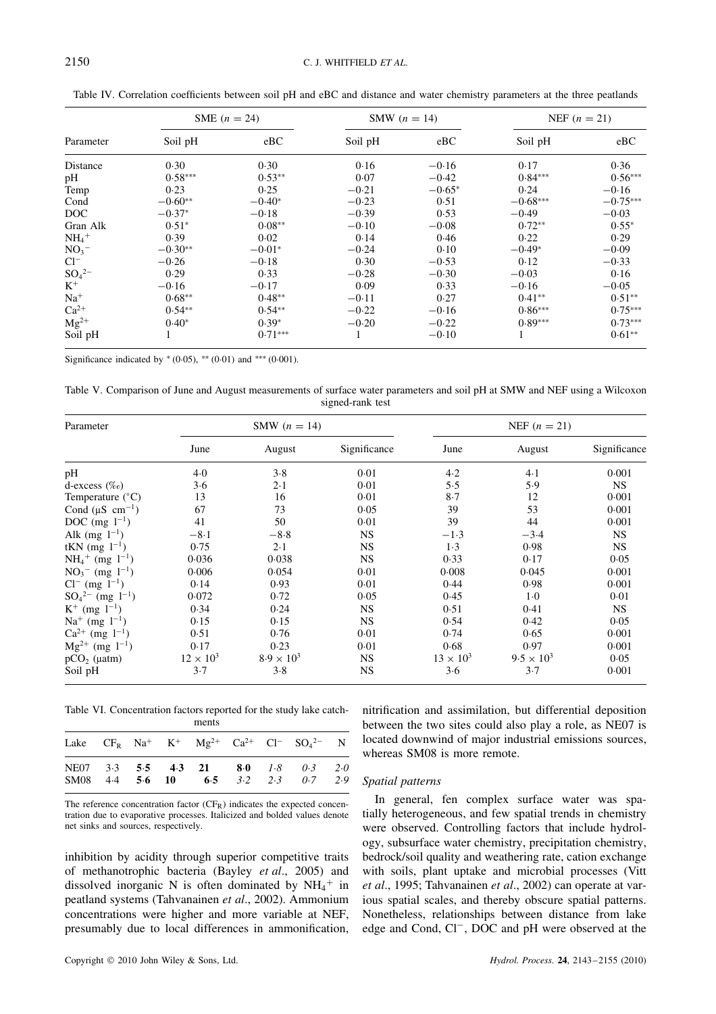|                     |           | SME $(n = 24)$ |         | SMW $(n = 14)$ |            | NEF $(n = 21)$ |  |
|---------------------|-----------|----------------|---------|----------------|------------|----------------|--|
| Parameter           | Soil pH   | $e$ BC         | Soil pH | $e$ BC         | Soil pH    | $e$ BC         |  |
| Distance            | 0.30      | 0.30           | 0.16    | $-0.16$        | 0.17       | 0.36           |  |
| pH                  | $0.58***$ | $0.53**$       | 0.07    | $-0.42$        | $0.84***$  | $0.56***$      |  |
| Temp                | 0.23      | 0.25           | $-0.21$ | $-0.65*$       | 0.24       | $-0.16$        |  |
| Cond                | $-0.60**$ | $-0.40*$       | $-0.23$ | 0.51           | $-0.68***$ | $-0.75***$     |  |
| <b>DOC</b>          | $-0.37*$  | $-0.18$        | $-0.39$ | 0.53           | $-0.49$    | $-0.03$        |  |
| Gran Alk            | $0.51*$   | $0.08**$       | $-0.10$ | $-0.08$        | $0.72**$   | $0.55*$        |  |
| $NH_4$ <sup>+</sup> | 0.39      | 0.02           | 0.14    | 0.46           | 0.22       | 0.29           |  |
| $NO_3^-$            | $-0.30**$ | $-0.01*$       | $-0.24$ | 0.10           | $-0.49*$   | $-0.09$        |  |
| $Cl^-$              | $-0.26$   | $-0.18$        | 0.30    | $-0.53$        | 0.12       | $-0.33$        |  |
| $SO_4{}^{2-}$       | 0.29      | 0.33           | $-0.28$ | $-0.30$        | $-0.03$    | 0.16           |  |
| $K^+$               | $-0.16$   | $-0.17$        | 0.09    | 0.33           | $-0.16$    | $-0.05$        |  |
| $Na+$               | $0.68**$  | $0.48**$       | $-0.11$ | 0.27           | $0.41**$   | $0.51**$       |  |
| $Ca^{2+}$           | $0.54**$  | $0.54**$       | $-0.22$ | $-0.16$        | $0.86***$  | $0.75***$      |  |
| $Mg^{2+}$           | $0.40*$   | $0.39*$        | $-0.20$ | $-0.22$        | $0.89***$  | $0.73***$      |  |
| Soil pH             |           | $0.71***$      |         | $-0.10$        |            | $0.61**$       |  |

Table IV. Correlation coefficients between soil pH and eBC and distance and water chemistry parameters at the three peatlands

Significance indicated by  $*(0.05)$ ,  $** (0.01)$  and  $*** (0.001)$ .

Table V. Comparison of June and August measurements of surface water parameters and soil pH at SMW and NEF using a Wilcoxon signed-rank test

| Parameter                         |                    | SMW $(n = 14)$      |              |                    | NEF $(n = 21)$      |              |  |
|-----------------------------------|--------------------|---------------------|--------------|--------------------|---------------------|--------------|--|
|                                   | June               | August              | Significance | June               | August              | Significance |  |
| pH                                | 4.0                | 3.8                 | 0.01         | 4.2                | 4.1                 | 0.001        |  |
| d-excess $(\%_0)$                 | 3.6                | 2.1                 | 0.01         | 5.5                | 5.9                 | <b>NS</b>    |  |
| Temperature $(^{\circ}C)$         | 13                 | 16                  | 0.01         | 8.7                | 12                  | 0.001        |  |
| Cond ( $\mu$ S cm <sup>-1</sup> ) | 67                 | 73                  | 0.05         | 39                 | 53                  | 0.001        |  |
| DOC (mg $1^{-1}$ )                | 41                 | 50                  | 0.01         | 39                 | 44                  | 0.001        |  |
| Alk (mg $1^{-1}$ )                | $-8.1$             | $-8.8$              | <b>NS</b>    | $-1.3$             | $-3.4$              | <b>NS</b>    |  |
| tKN $(mg 1^{-1})$                 | 0.75               | 2.1                 | NS           | 1.3                | 0.98                | NS.          |  |
| $NH_4^+$ (mg $1^{-1}$ )           | 0.036              | 0.038               | <b>NS</b>    | 0.33               | 0.17                | 0.05         |  |
| $NO_3^-$ (mg $1^{-1}$ )           | 0.006              | 0.054               | 0.01         | 0.008              | 0.045               | 0.001        |  |
| $Cl^{-}$ (mg $l^{-1}$ )           | 0.14               | 0.93                | 0.01         | 0.44               | 0.98                | 0.001        |  |
| $SO_4^{2-}$ (mg $1^{-1}$ )        | 0.072              | 0.72                | 0.05         | 0.45               | $1-0$               | 0.01         |  |
| $K^+$ (mg $1^{-1}$ )              | 0.34               | 0.24                | <b>NS</b>    | 0.51               | 0.41                | <b>NS</b>    |  |
| $Na^{+}$ (mg $1^{-1}$ )           | 0.15               | 0.15                | <b>NS</b>    | 0.54               | 0.42                | 0.05         |  |
| $Ca^{2+}$ (mg $1^{-1}$ )          | 0.51               | 0.76                | 0.01         | 0.74               | 0.65                | 0.001        |  |
| $Mg^{2+}$ (mg $l^{-1}$ )          | 0.17               | 0.23                | 0.01         | 0.68               | 0.97                | 0.001        |  |
| $pCO2$ (µatm)                     | $12 \times 10^{3}$ | $8.9 \times 10^{3}$ | <b>NS</b>    | $13 \times 10^{3}$ | $9.5 \times 10^{3}$ | 0.05         |  |
| Soil pH                           | 3.7                | 3.8                 | NS           | 3.6                | 3.7                 | 0.001        |  |

Table VI. Concentration factors reported for the study lake catchments

|  |  |                     |  | Lake $CF_R$ Na <sup>+</sup> K <sup>+</sup> Mg <sup>2+</sup> Ca <sup>2+</sup> Cl <sup>-</sup> SO <sub>4</sub> <sup>2-</sup> N |  |
|--|--|---------------------|--|------------------------------------------------------------------------------------------------------------------------------|--|
|  |  | SM08 4.4 5.6 10 6.5 |  | NE07 3.3 5.5 4.3 21 8.0 1.8 0.3 2.0<br>$3.2$ $2.3$ $0.7$ $2.9$                                                               |  |

The reference concentration factor  $(CF_R)$  indicates the expected concentration due to evaporative processes. Italicized and bolded values denote net sinks and sources, respectively.

inhibition by acidity through superior competitive traits of methanotrophic bacteria (Bayley *et al*., 2005) and dissolved inorganic N is often dominated by  $NH_4^+$  in peatland systems (Tahvanainen *et al*., 2002). Ammonium concentrations were higher and more variable at NEF, presumably due to local differences in ammonification, nitrification and assimilation, but differential deposition between the two sites could also play a role, as NE07 is located downwind of major industrial emissions sources, whereas SM08 is more remote.

#### *Spatial patterns*

In general, fen complex surface water was spatially heterogeneous, and few spatial trends in chemistry were observed. Controlling factors that include hydrology, subsurface water chemistry, precipitation chemistry, bedrock/soil quality and weathering rate, cation exchange with soils, plant uptake and microbial processes (Vitt *et al*., 1995; Tahvanainen *et al*., 2002) can operate at various spatial scales, and thereby obscure spatial patterns. Nonetheless, relationships between distance from lake edge and Cond, Cl<sup>-</sup>, DOC and pH were observed at the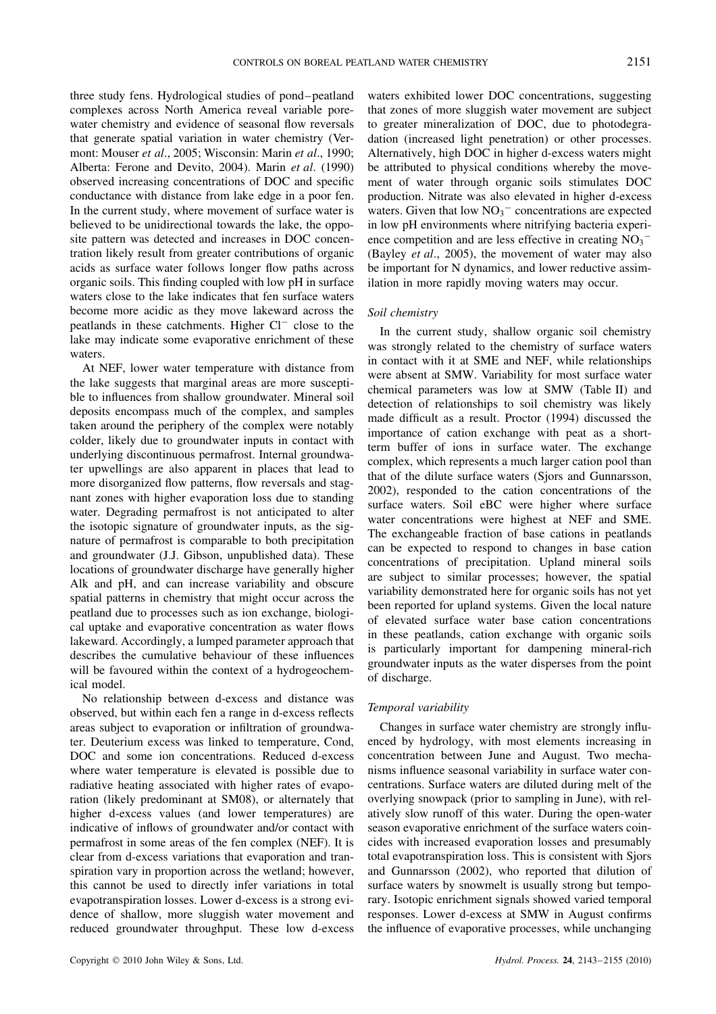three study fens. Hydrological studies of pond–peatland complexes across North America reveal variable porewater chemistry and evidence of seasonal flow reversals that generate spatial variation in water chemistry (Vermont: Mouser *et al*., 2005; Wisconsin: Marin *et al*., 1990; Alberta: Ferone and Devito, 2004). Marin *et al*. (1990) observed increasing concentrations of DOC and specific conductance with distance from lake edge in a poor fen. In the current study, where movement of surface water is believed to be unidirectional towards the lake, the opposite pattern was detected and increases in DOC concentration likely result from greater contributions of organic acids as surface water follows longer flow paths across organic soils. This finding coupled with low pH in surface waters close to the lake indicates that fen surface waters become more acidic as they move lakeward across the peatlands in these catchments. Higher  $Cl^-$  close to the lake may indicate some evaporative enrichment of these waters.

At NEF, lower water temperature with distance from the lake suggests that marginal areas are more susceptible to influences from shallow groundwater. Mineral soil deposits encompass much of the complex, and samples taken around the periphery of the complex were notably colder, likely due to groundwater inputs in contact with underlying discontinuous permafrost. Internal groundwater upwellings are also apparent in places that lead to more disorganized flow patterns, flow reversals and stagnant zones with higher evaporation loss due to standing water. Degrading permafrost is not anticipated to alter the isotopic signature of groundwater inputs, as the signature of permafrost is comparable to both precipitation and groundwater (J.J. Gibson, unpublished data). These locations of groundwater discharge have generally higher Alk and pH, and can increase variability and obscure spatial patterns in chemistry that might occur across the peatland due to processes such as ion exchange, biological uptake and evaporative concentration as water flows lakeward. Accordingly, a lumped parameter approach that describes the cumulative behaviour of these influences will be favoured within the context of a hydrogeochemical model.

No relationship between d-excess and distance was observed, but within each fen a range in d-excess reflects areas subject to evaporation or infiltration of groundwater. Deuterium excess was linked to temperature, Cond, DOC and some ion concentrations. Reduced d-excess where water temperature is elevated is possible due to radiative heating associated with higher rates of evaporation (likely predominant at SM08), or alternately that higher d-excess values (and lower temperatures) are indicative of inflows of groundwater and/or contact with permafrost in some areas of the fen complex (NEF). It is clear from d-excess variations that evaporation and transpiration vary in proportion across the wetland; however, this cannot be used to directly infer variations in total evapotranspiration losses. Lower d-excess is a strong evidence of shallow, more sluggish water movement and reduced groundwater throughput. These low d-excess

waters exhibited lower DOC concentrations, suggesting that zones of more sluggish water movement are subject to greater mineralization of DOC, due to photodegradation (increased light penetration) or other processes. Alternatively, high DOC in higher d-excess waters might be attributed to physical conditions whereby the movement of water through organic soils stimulates DOC production. Nitrate was also elevated in higher d-excess waters. Given that low  $NO<sub>3</sub><sup>-</sup>$  concentrations are expected in low pH environments where nitrifying bacteria experience competition and are less effective in creating  $NO_3$ <sup>-</sup> (Bayley *et al*., 2005), the movement of water may also be important for N dynamics, and lower reductive assimilation in more rapidly moving waters may occur.

#### *Soil chemistry*

In the current study, shallow organic soil chemistry was strongly related to the chemistry of surface waters in contact with it at SME and NEF, while relationships were absent at SMW. Variability for most surface water chemical parameters was low at SMW (Table II) and detection of relationships to soil chemistry was likely made difficult as a result. Proctor (1994) discussed the importance of cation exchange with peat as a shortterm buffer of ions in surface water. The exchange complex, which represents a much larger cation pool than that of the dilute surface waters (Sjors and Gunnarsson, 2002), responded to the cation concentrations of the surface waters. Soil eBC were higher where surface water concentrations were highest at NEF and SME. The exchangeable fraction of base cations in peatlands can be expected to respond to changes in base cation concentrations of precipitation. Upland mineral soils are subject to similar processes; however, the spatial variability demonstrated here for organic soils has not yet been reported for upland systems. Given the local nature of elevated surface water base cation concentrations in these peatlands, cation exchange with organic soils is particularly important for dampening mineral-rich groundwater inputs as the water disperses from the point of discharge.

#### *Temporal variability*

Changes in surface water chemistry are strongly influenced by hydrology, with most elements increasing in concentration between June and August. Two mechanisms influence seasonal variability in surface water concentrations. Surface waters are diluted during melt of the overlying snowpack (prior to sampling in June), with relatively slow runoff of this water. During the open-water season evaporative enrichment of the surface waters coincides with increased evaporation losses and presumably total evapotranspiration loss. This is consistent with Sjors and Gunnarsson (2002), who reported that dilution of surface waters by snowmelt is usually strong but temporary. Isotopic enrichment signals showed varied temporal responses. Lower d-excess at SMW in August confirms the influence of evaporative processes, while unchanging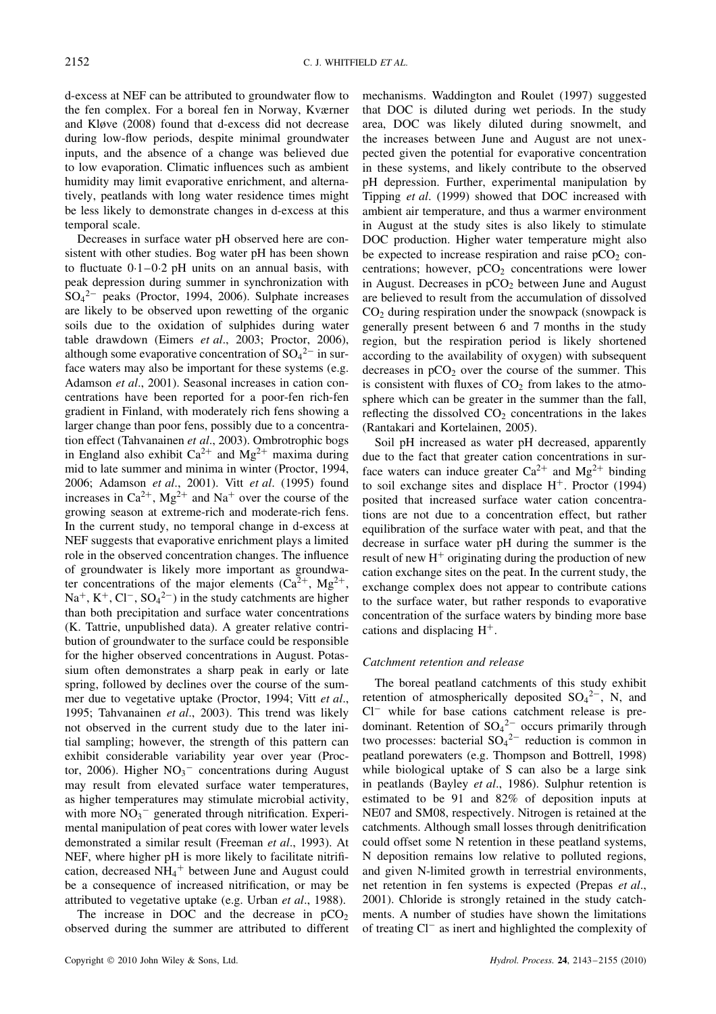d-excess at NEF can be attributed to groundwater flow to the fen complex. For a boreal fen in Norway, Kværner and Kløve (2008) found that d-excess did not decrease during low-flow periods, despite minimal groundwater inputs, and the absence of a change was believed due to low evaporation. Climatic influences such as ambient humidity may limit evaporative enrichment, and alternatively, peatlands with long water residence times might be less likely to demonstrate changes in d-excess at this temporal scale.

Decreases in surface water pH observed here are consistent with other studies. Bog water pH has been shown to fluctuate  $0.1-0.2$  pH units on an annual basis, with peak depression during summer in synchronization with  $SO_4^2$ <sup>-</sup> peaks (Proctor, 1994, 2006). Sulphate increases are likely to be observed upon rewetting of the organic soils due to the oxidation of sulphides during water table drawdown (Eimers *et al*., 2003; Proctor, 2006), although some evaporative concentration of  $SO_4^2$  in surface waters may also be important for these systems (e.g. Adamson *et al*., 2001). Seasonal increases in cation concentrations have been reported for a poor-fen rich-fen gradient in Finland, with moderately rich fens showing a larger change than poor fens, possibly due to a concentration effect (Tahvanainen *et al*., 2003). Ombrotrophic bogs in England also exhibit  $Ca^{2+}$  and  $Mg^{2+}$  maxima during mid to late summer and minima in winter (Proctor, 1994, 2006; Adamson *et al*., 2001). Vitt *et al*. (1995) found increases in  $Ca^{2+}$ , Mg<sup>2+</sup> and Na<sup>+</sup> over the course of the growing season at extreme-rich and moderate-rich fens. In the current study, no temporal change in d-excess at NEF suggests that evaporative enrichment plays a limited role in the observed concentration changes. The influence of groundwater is likely more important as groundwater concentrations of the major elements  $(Ca^{2+}, Mg^{2+},$  $Na^+$ ,  $K^+$ ,  $Cl^-$ ,  $SO_4{}^{2-}$ ) in the study catchments are higher than both precipitation and surface water concentrations (K. Tattrie, unpublished data). A greater relative contribution of groundwater to the surface could be responsible for the higher observed concentrations in August. Potassium often demonstrates a sharp peak in early or late spring, followed by declines over the course of the summer due to vegetative uptake (Proctor, 1994; Vitt *et al*., 1995; Tahvanainen *et al*., 2003). This trend was likely not observed in the current study due to the later initial sampling; however, the strength of this pattern can exhibit considerable variability year over year (Proctor, 2006). Higher  $NO<sub>3</sub><sup>-</sup>$  concentrations during August may result from elevated surface water temperatures, as higher temperatures may stimulate microbial activity, with more  $NO_3^-$  generated through nitrification. Experimental manipulation of peat cores with lower water levels demonstrated a similar result (Freeman *et al*., 1993). At NEF, where higher pH is more likely to facilitate nitrification, decreased  $NH_4^+$  between June and August could be a consequence of increased nitrification, or may be attributed to vegetative uptake (e.g. Urban *et al*., 1988).

The increase in DOC and the decrease in  $pCO<sub>2</sub>$ observed during the summer are attributed to different mechanisms. Waddington and Roulet (1997) suggested that DOC is diluted during wet periods. In the study area, DOC was likely diluted during snowmelt, and the increases between June and August are not unexpected given the potential for evaporative concentration in these systems, and likely contribute to the observed pH depression. Further, experimental manipulation by Tipping *et al*. (1999) showed that DOC increased with ambient air temperature, and thus a warmer environment in August at the study sites is also likely to stimulate DOC production. Higher water temperature might also be expected to increase respiration and raise  $pCO<sub>2</sub>$  concentrations; however,  $pCO<sub>2</sub>$  concentrations were lower in August. Decreases in  $pCO<sub>2</sub>$  between June and August are believed to result from the accumulation of dissolved  $CO<sub>2</sub>$  during respiration under the snowpack (snowpack is generally present between 6 and 7 months in the study region, but the respiration period is likely shortened according to the availability of oxygen) with subsequent decreases in  $pCO<sub>2</sub>$  over the course of the summer. This is consistent with fluxes of  $CO<sub>2</sub>$  from lakes to the atmosphere which can be greater in the summer than the fall, reflecting the dissolved  $CO<sub>2</sub>$  concentrations in the lakes (Rantakari and Kortelainen, 2005).

Soil pH increased as water pH decreased, apparently due to the fact that greater cation concentrations in surface waters can induce greater  $Ca^{2+}$  and  $Mg^{2+}$  binding to soil exchange sites and displace  $H^+$ . Proctor (1994) posited that increased surface water cation concentrations are not due to a concentration effect, but rather equilibration of the surface water with peat, and that the decrease in surface water pH during the summer is the result of new  $H^+$  originating during the production of new cation exchange sites on the peat. In the current study, the exchange complex does not appear to contribute cations to the surface water, but rather responds to evaporative concentration of the surface waters by binding more base cations and displacing  $H^+$ .

## *Catchment retention and release*

The boreal peatland catchments of this study exhibit retention of atmospherically deposited  $SO_4^2$ , N, and  $Cl^-$  while for base cations catchment release is predominant. Retention of  $SO_4^2$  occurs primarily through two processes: bacterial  $SO_4^2$  reduction is common in peatland porewaters (e.g. Thompson and Bottrell, 1998) while biological uptake of S can also be a large sink in peatlands (Bayley *et al*., 1986). Sulphur retention is estimated to be 91 and 82% of deposition inputs at NE07 and SM08, respectively. Nitrogen is retained at the catchments. Although small losses through denitrification could offset some N retention in these peatland systems, N deposition remains low relative to polluted regions, and given N-limited growth in terrestrial environments, net retention in fen systems is expected (Prepas *et al*., 2001). Chloride is strongly retained in the study catchments. A number of studies have shown the limitations of treating  $Cl^-$  as inert and highlighted the complexity of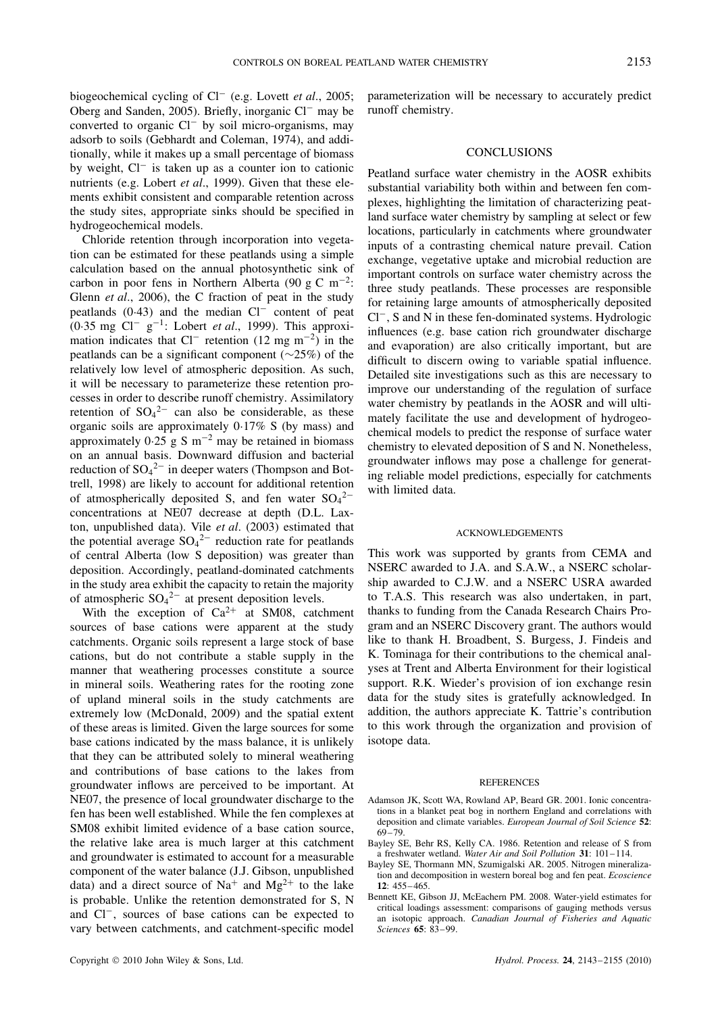biogeochemical cycling of Cl<sup>-</sup> (e.g. Lovett *et al.*, 2005; Oberg and Sanden, 2005). Briefly, inorganic  $Cl^-$  may be converted to organic  $Cl^-$  by soil micro-organisms, may adsorb to soils (Gebhardt and Coleman, 1974), and additionally, while it makes up a small percentage of biomass by weight,  $Cl^-$  is taken up as a counter ion to cationic nutrients (e.g. Lobert *et al*., 1999). Given that these elements exhibit consistent and comparable retention across the study sites, appropriate sinks should be specified in hydrogeochemical models.

Chloride retention through incorporation into vegetation can be estimated for these peatlands using a simple calculation based on the annual photosynthetic sink of carbon in poor fens in Northern Alberta (90 g C m<sup>-2</sup>: Glenn *et al*., 2006), the C fraction of peat in the study peatlands  $(0.43)$  and the median  $Cl^-$  content of peat  $(0.35 \text{ mg Cl}^{-} \text{ g}^{-1}$ : Lobert *et al.*, 1999). This approximation indicates that  $Cl^-$  retention (12 mg m<sup>-2</sup>) in the peatlands can be a significant component ( $\sim$ 25%) of the relatively low level of atmospheric deposition. As such, it will be necessary to parameterize these retention processes in order to describe runoff chemistry. Assimilatory retention of  $SO_4^2$  can also be considerable, as these organic soils are approximately  $0.17\%$  S (by mass) and approximately  $0.25$  g S m<sup>-2</sup> may be retained in biomass on an annual basis. Downward diffusion and bacterial reduction of  $SO_4^2$ <sup>-</sup> in deeper waters (Thompson and Bottrell, 1998) are likely to account for additional retention of atmospherically deposited S, and fen water  $SO_4^2$ <sup>-</sup> concentrations at NE07 decrease at depth (D.L. Laxton, unpublished data). Vile *et al*. (2003) estimated that the potential average  $SO_4^2$  reduction rate for peatlands of central Alberta (low S deposition) was greater than deposition. Accordingly, peatland-dominated catchments in the study area exhibit the capacity to retain the majority of atmospheric  $SO_4^2$  at present deposition levels.

With the exception of  $Ca^{2+}$  at SM08, catchment sources of base cations were apparent at the study catchments. Organic soils represent a large stock of base cations, but do not contribute a stable supply in the manner that weathering processes constitute a source in mineral soils. Weathering rates for the rooting zone of upland mineral soils in the study catchments are extremely low (McDonald, 2009) and the spatial extent of these areas is limited. Given the large sources for some base cations indicated by the mass balance, it is unlikely that they can be attributed solely to mineral weathering and contributions of base cations to the lakes from groundwater inflows are perceived to be important. At NE07, the presence of local groundwater discharge to the fen has been well established. While the fen complexes at SM08 exhibit limited evidence of a base cation source, the relative lake area is much larger at this catchment and groundwater is estimated to account for a measurable component of the water balance (J.J. Gibson, unpublished data) and a direct source of  $Na<sup>+</sup>$  and  $Mg<sup>2+</sup>$  to the lake is probable. Unlike the retention demonstrated for S, N and  $Cl^-$ , sources of base cations can be expected to vary between catchments, and catchment-specific model

parameterization will be necessary to accurately predict runoff chemistry.

## **CONCLUSIONS**

Peatland surface water chemistry in the AOSR exhibits substantial variability both within and between fen complexes, highlighting the limitation of characterizing peatland surface water chemistry by sampling at select or few locations, particularly in catchments where groundwater inputs of a contrasting chemical nature prevail. Cation exchange, vegetative uptake and microbial reduction are important controls on surface water chemistry across the three study peatlands. These processes are responsible for retaining large amounts of atmospherically deposited  $Cl^-$ , S and N in these fen-dominated systems. Hydrologic influences (e.g. base cation rich groundwater discharge and evaporation) are also critically important, but are difficult to discern owing to variable spatial influence. Detailed site investigations such as this are necessary to improve our understanding of the regulation of surface water chemistry by peatlands in the AOSR and will ultimately facilitate the use and development of hydrogeochemical models to predict the response of surface water chemistry to elevated deposition of S and N. Nonetheless, groundwater inflows may pose a challenge for generating reliable model predictions, especially for catchments with limited data.

#### ACKNOWLEDGEMENTS

This work was supported by grants from CEMA and NSERC awarded to J.A. and S.A.W., a NSERC scholarship awarded to C.J.W. and a NSERC USRA awarded to T.A.S. This research was also undertaken, in part, thanks to funding from the Canada Research Chairs Program and an NSERC Discovery grant. The authors would like to thank H. Broadbent, S. Burgess, J. Findeis and K. Tominaga for their contributions to the chemical analyses at Trent and Alberta Environment for their logistical support. R.K. Wieder's provision of ion exchange resin data for the study sites is gratefully acknowledged. In addition, the authors appreciate K. Tattrie's contribution to this work through the organization and provision of isotope data.

#### **REFERENCES**

- Adamson JK, Scott WA, Rowland AP, Beard GR. 2001. Ionic concentrations in a blanket peat bog in northern England and correlations with deposition and climate variables. *European Journal of Soil Science* **52**: 69–79.
- Bayley SE, Behr RS, Kelly CA. 1986. Retention and release of S from a freshwater wetland. *Water Air and Soil Pollution* **31**: 101–114.
- Bayley SE, Thormann MN, Szumigalski AR. 2005. Nitrogen mineralization and decomposition in western boreal bog and fen peat. *Ecoscience* **12**: 455–465.
- Bennett KE, Gibson JJ, McEachern PM. 2008. Water-yield estimates for critical loadings assessment: comparisons of gauging methods versus an isotopic approach. *Canadian Journal of Fisheries and Aquatic Sciences* **65**: 83–99.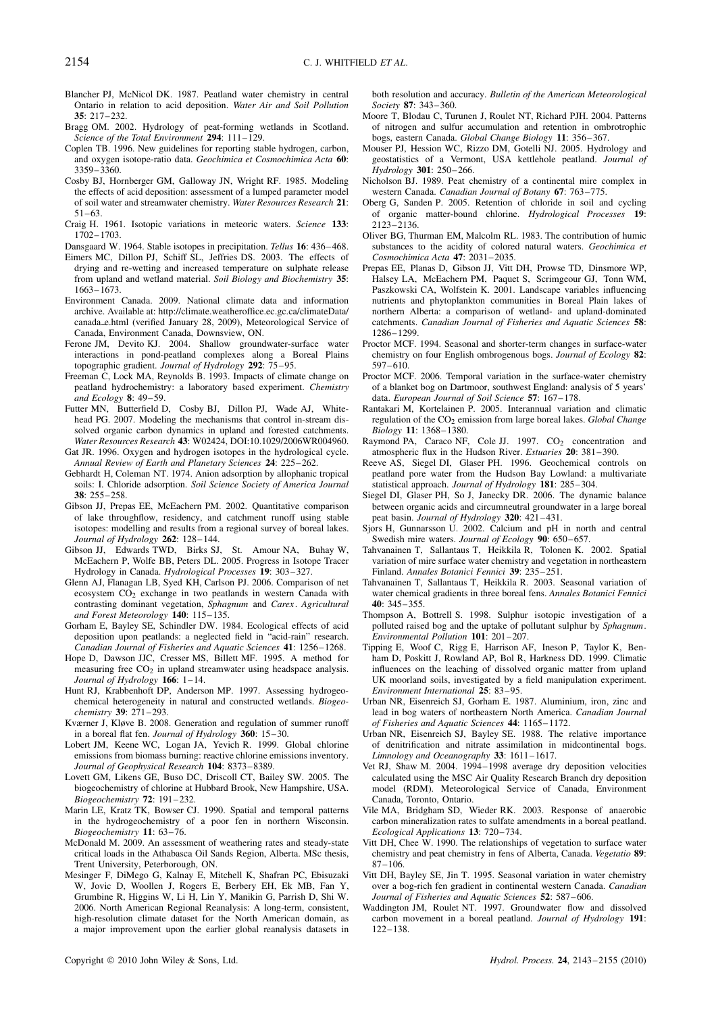- Blancher PJ, McNicol DK. 1987. Peatland water chemistry in central Ontario in relation to acid deposition. *Water Air and Soil Pollution* **35**: 217–232.
- Bragg OM. 2002. Hydrology of peat-forming wetlands in Scotland. *Science of the Total Environment* **294**: 111–129.
- Coplen TB. 1996. New guidelines for reporting stable hydrogen, carbon, and oxygen isotope-ratio data. *Geochimica et Cosmochimica Acta* **60**: 3359–3360.
- Cosby BJ, Hornberger GM, Galloway JN, Wright RF. 1985. Modeling the effects of acid deposition: assessment of a lumped parameter model of soil water and streamwater chemistry. *Water Resources Research* **21**: 51–63.
- Craig H. 1961. Isotopic variations in meteoric waters. *Science* **133**: 1702–1703.

Dansgaard W. 1964. Stable isotopes in precipitation. *Tellus* **16**: 436–468. Eimers MC, Dillon PJ, Schiff SL, Jeffries DS. 2003. The effects of

- drying and re-wetting and increased temperature on sulphate release from upland and wetland material. *Soil Biology and Biochemistry* **35**: 1663–1673.
- Environment Canada. 2009. National climate data and information archive. Available at: http://climate.weatheroffice.ec.gc.ca/climateData/ canada e.html (verified January 28, 2009), Meteorological Service of Canada, Environment Canada, Downsview, ON.
- Ferone JM, Devito KJ. 2004. Shallow groundwater-surface water interactions in pond-peatland complexes along a Boreal Plains topographic gradient. *Journal of Hydrology* **292**: 75–95.
- Freeman C, Lock MA, Reynolds B. 1993. Impacts of climate change on peatland hydrochemistry: a laboratory based experiment. *Chemistry and Ecology* **8**: 49–59.
- Futter MN, Butterfield D, Cosby BJ, Dillon PJ, Wade AJ, Whitehead PG. 2007. Modeling the mechanisms that control in-stream dissolved organic carbon dynamics in upland and forested catchments. *Water Resources Research* **43**: W02424, DOI:10.1029/2006WR004960.
- Gat JR. 1996. Oxygen and hydrogen isotopes in the hydrological cycle. *Annual Review of Earth and Planetary Sciences* **24**: 225–262.
- Gebhardt H, Coleman NT. 1974. Anion adsorption by allophanic tropical soils: I. Chloride adsorption. *Soil Science Society of America Journal* **38**: 255–258.
- Gibson JJ, Prepas EE, McEachern PM. 2002. Quantitative comparison of lake throughflow, residency, and catchment runoff using stable isotopes: modelling and results from a regional survey of boreal lakes. *Journal of Hydrology* **262**: 128–144.
- Gibson JJ, Edwards TWD, Birks SJ, St. Amour NA, Buhay W, McEachern P, Wolfe BB, Peters DL. 2005. Progress in Isotope Tracer Hydrology in Canada. *Hydrological Processes* **19**: 303–327.
- Glenn AJ, Flanagan LB, Syed KH, Carlson PJ. 2006. Comparison of net ecosystem CO2 exchange in two peatlands in western Canada with contrasting dominant vegetation, *Sphagnum* and *Carex*. *Agricultural and Forest Meteorology* **140**: 115–135.
- Gorham E, Bayley SE, Schindler DW. 1984. Ecological effects of acid deposition upon peatlands: a neglected field in "acid-rain" research. *Canadian Journal of Fisheries and Aquatic Sciences* **41**: 1256–1268.
- Hope D, Dawson JJC, Cresser MS, Billett MF. 1995. A method for measuring free  $CO<sub>2</sub>$  in upland streamwater using headspace analysis. *Journal of Hydrology* **166**: 1–14.
- Hunt RJ, Krabbenhoft DP, Anderson MP. 1997. Assessing hydrogeochemical heterogeneity in natural and constructed wetlands. *Biogeochemistry* **39**: 271–293.
- Kværner J, Kløve B. 2008. Generation and regulation of summer runoff in a boreal flat fen. *Journal of Hydrology* **360**: 15–30.
- Lobert JM, Keene WC, Logan JA, Yevich R. 1999. Global chlorine emissions from biomass burning: reactive chlorine emissions inventory. *Journal of Geophysical Research* **104**: 8373–8389.
- Lovett GM, Likens GE, Buso DC, Driscoll CT, Bailey SW. 2005. The biogeochemistry of chlorine at Hubbard Brook, New Hampshire, USA. *Biogeochemistry* **72**: 191–232.
- Marin LE, Kratz TK, Bowser CJ. 1990. Spatial and temporal patterns in the hydrogeochemistry of a poor fen in northern Wisconsin. *Biogeochemistry* **11**: 63–76.
- McDonald M. 2009. An assessment of weathering rates and steady-state critical loads in the Athabasca Oil Sands Region, Alberta. MSc thesis, Trent University, Peterborough, ON.
- Mesinger F, DiMego G, Kalnay E, Mitchell K, Shafran PC, Ebisuzaki W, Jovic D, Woollen J, Rogers E, Berbery EH, Ek MB, Fan Y, Grumbine R, Higgins W, Li H, Lin Y, Manikin G, Parrish D, Shi W. 2006. North American Regional Reanalysis: A long-term, consistent, high-resolution climate dataset for the North American domain, as a major improvement upon the earlier global reanalysis datasets in

both resolution and accuracy. *Bulletin of the American Meteorological Society* **87**: 343–360.

- Moore T, Blodau C, Turunen J, Roulet NT, Richard PJH. 2004. Patterns of nitrogen and sulfur accumulation and retention in ombrotrophic bogs, eastern Canada. *Global Change Biology* **11**: 356–367.
- Mouser PJ, Hession WC, Rizzo DM, Gotelli NJ. 2005. Hydrology and geostatistics of a Vermont, USA kettlehole peatland. *Journal of Hydrology* **301**: 250–266.
- Nicholson BJ. 1989. Peat chemistry of a continental mire complex in western Canada. *Canadian Journal of Botany* **67**: 763–775.
- Oberg G, Sanden P. 2005. Retention of chloride in soil and cycling of organic matter-bound chlorine. *Hydrological Processes* **19**: 2123–2136.
- Oliver BG, Thurman EM, Malcolm RL. 1983. The contribution of humic substances to the acidity of colored natural waters. *Geochimica et Cosmochimica Acta* **47**: 2031–2035.
- Prepas EE, Planas D, Gibson JJ, Vitt DH, Prowse TD, Dinsmore WP, Halsey LA, McEachern PM, Paquet S, Scrimgeour GJ, Tonn WM, Paszkowski CA, Wolfstein K. 2001. Landscape variables influencing nutrients and phytoplankton communities in Boreal Plain lakes of northern Alberta: a comparison of wetland- and upland-dominated catchments. *Canadian Journal of Fisheries and Aquatic Sciences* **58**: 1286–1299.
- Proctor MCF. 1994. Seasonal and shorter-term changes in surface-water chemistry on four English ombrogenous bogs. *Journal of Ecology* **82**: 597–610.
- Proctor MCF. 2006. Temporal variation in the surface-water chemistry of a blanket bog on Dartmoor, southwest England: analysis of 5 years' data. *European Journal of Soil Science* **57**: 167–178.
- Rantakari M, Kortelainen P. 2005. Interannual variation and climatic regulation of the CO<sub>2</sub> emission from large boreal lakes. *Global Change Biology* **11**: 1368–1380.
- Raymond PA, Caraco NF, Cole JJ. 1997.  $CO<sub>2</sub>$  concentration and atmospheric flux in the Hudson River. *Estuaries* **20**: 381–390.
- Reeve AS, Siegel DI, Glaser PH. 1996. Geochemical controls on peatland pore water from the Hudson Bay Lowland: a multivariate statistical approach. *Journal of Hydrology* **181**: 285–304.
- Siegel DI, Glaser PH, So J, Janecky DR. 2006. The dynamic balance between organic acids and circumneutral groundwater in a large boreal peat basin. *Journal of Hydrology* **320**: 421–431.
- Sjors H, Gunnarsson U. 2002. Calcium and pH in north and central Swedish mire waters. *Journal of Ecology* **90**: 650–657.
- Tahvanainen T, Sallantaus T, Heikkila R, Tolonen K. 2002. Spatial variation of mire surface water chemistry and vegetation in northeastern Finland. *Annales Botanici Fennici* **39**: 235–251.
- Tahvanainen T, Sallantaus T, Heikkila R. 2003. Seasonal variation of water chemical gradients in three boreal fens. *Annales Botanici Fennici* **40**: 345–355.
- Thompson A, Bottrell S. 1998. Sulphur isotopic investigation of a polluted raised bog and the uptake of pollutant sulphur by *Sphagnum*. *Environmental Pollution* **101**: 201–207.
- Tipping E, Woof C, Rigg E, Harrison AF, Ineson P, Taylor K, Benham D, Poskitt J, Rowland AP, Bol R, Harkness DD. 1999. Climatic influences on the leaching of dissolved organic matter from upland UK moorland soils, investigated by a field manipulation experiment. *Environment International* **25**: 83–95.
- Urban NR, Eisenreich SJ, Gorham E. 1987. Aluminium, iron, zinc and lead in bog waters of northeastern North America. *Canadian Journal of Fisheries and Aquatic Sciences* **44**: 1165–1172.
- Urban NR, Eisenreich SJ, Bayley SE. 1988. The relative importance of denitrification and nitrate assimilation in midcontinental bogs. *Limnology and Oceanography* **33**: 1611–1617.
- Vet RJ, Shaw M. 2004. 1994–1998 average dry deposition velocities calculated using the MSC Air Quality Research Branch dry deposition model (RDM). Meteorological Service of Canada, Environment Canada, Toronto, Ontario.
- Vile MA, Bridgham SD, Wieder RK. 2003. Response of anaerobic carbon mineralization rates to sulfate amendments in a boreal peatland. *Ecological Applications* **13**: 720–734.
- Vitt DH, Chee W. 1990. The relationships of vegetation to surface water chemistry and peat chemistry in fens of Alberta, Canada. *Vegetatio* **89**: 87–106.
- Vitt DH, Bayley SE, Jin T. 1995. Seasonal variation in water chemistry over a bog-rich fen gradient in continental western Canada. *Canadian Journal of Fisheries and Aquatic Sciences* **52**: 587–606.
- Waddington JM, Roulet NT. 1997. Groundwater flow and dissolved carbon movement in a boreal peatland. *Journal of Hydrology* **191**: 122–138.